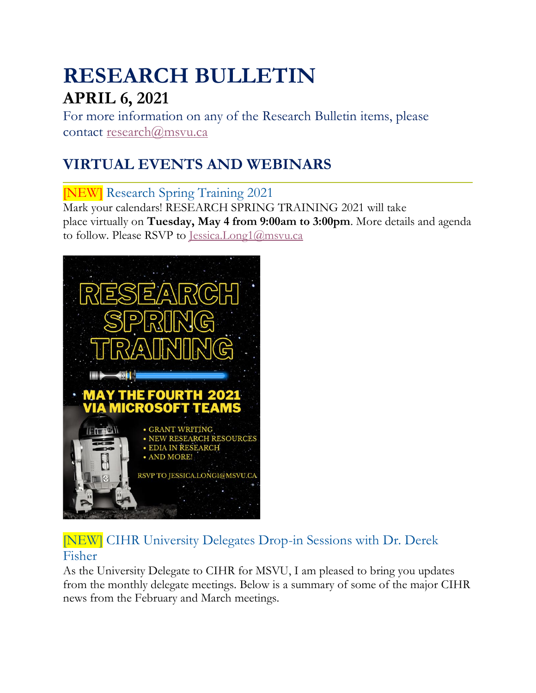# **RESEARCH BULLETIN APRIL 6, 2021**

For more information on any of the Research Bulletin items, please contact [research@msvu.ca](mailto:research@msvu.ca)

# **VIRTUAL EVENTS AND WEBINARS**

[NEW] Research Spring Training 2021 Mark your calendars! RESEARCH SPRING TRAINING 2021 will take place virtually on **Tuesday, May 4 from 9:00am to 3:00pm**. More details and agenda to follow. Please RSVP to [Jessica.Long1@msvu.ca](mailto:Jessica.Long1@msvu.ca)



[NEW] CIHR University Delegates Drop-in Sessions with Dr. Derek Fisher

As the University Delegate to CIHR for MSVU, I am pleased to bring you updates from the monthly delegate meetings. Below is a summary of some of the major CIHR news from the February and March meetings.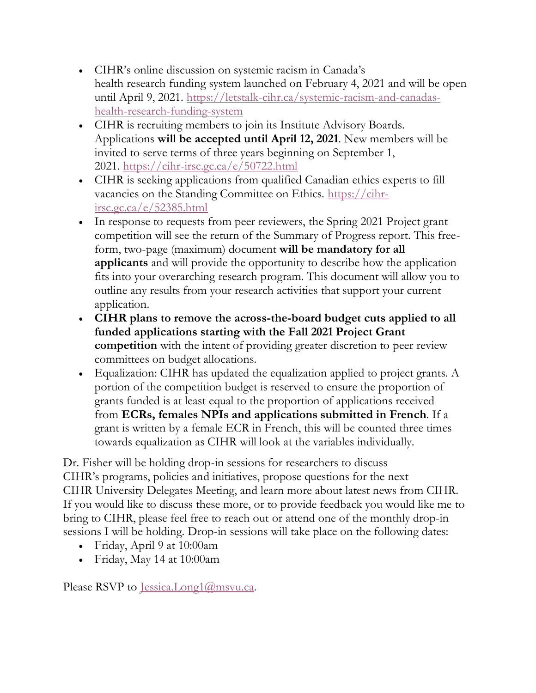- CIHR's online discussion on systemic racism in Canada's health research funding system launched on February 4, 2021 and will be open until April 9, 2021. [https://letstalk-cihr.ca/systemic-racism-and-canadas](https://letstalk-cihr.ca/systemic-racism-and-canadas-health-research-funding-system)[health-research-funding-system](https://letstalk-cihr.ca/systemic-racism-and-canadas-health-research-funding-system)
- CIHR is recruiting members to join its Institute Advisory Boards. Applications **will be accepted until April 12, 2021**. New members will be invited to serve terms of three years beginning on September 1, 2021. <https://cihr-irsc.gc.ca/e/50722.html>
- CIHR is seeking applications from qualified Canadian ethics experts to fill vacancies on the Standing Committee on Ethics. [https://cihr](https://cihr-irsc.gc.ca/e/52385.html)[irsc.gc.ca/e/52385.html](https://cihr-irsc.gc.ca/e/52385.html)
- In response to requests from peer reviewers, the Spring 2021 Project grant competition will see the return of the Summary of Progress report. This freeform, two-page (maximum) document **will be mandatory for all applicants** and will provide the opportunity to describe how the application fits into your overarching research program. This document will allow you to outline any results from your research activities that support your current application.
- **CIHR plans to remove the across-the-board budget cuts applied to all funded applications starting with the Fall 2021 Project Grant competition** with the intent of providing greater discretion to peer review committees on budget allocations.
- Equalization: CIHR has updated the equalization applied to project grants. A portion of the competition budget is reserved to ensure the proportion of grants funded is at least equal to the proportion of applications received from **ECRs, females NPIs and applications submitted in French**. If a grant is written by a female ECR in French, this will be counted three times towards equalization as CIHR will look at the variables individually.

Dr. Fisher will be holding drop-in sessions for researchers to discuss CIHR's programs, policies and initiatives, propose questions for the next CIHR University Delegates Meeting, and learn more about latest news from CIHR. If you would like to discuss these more, or to provide feedback you would like me to bring to CIHR, please feel free to reach out or attend one of the monthly drop-in sessions I will be holding. Drop-in sessions will take place on the following dates:

- Friday, April 9 at 10:00am
- Friday, May 14 at 10:00am

Please RSVP to [Jessica.Long1@msvu.ca.](mailto:Jessica.Long1@msvu.ca)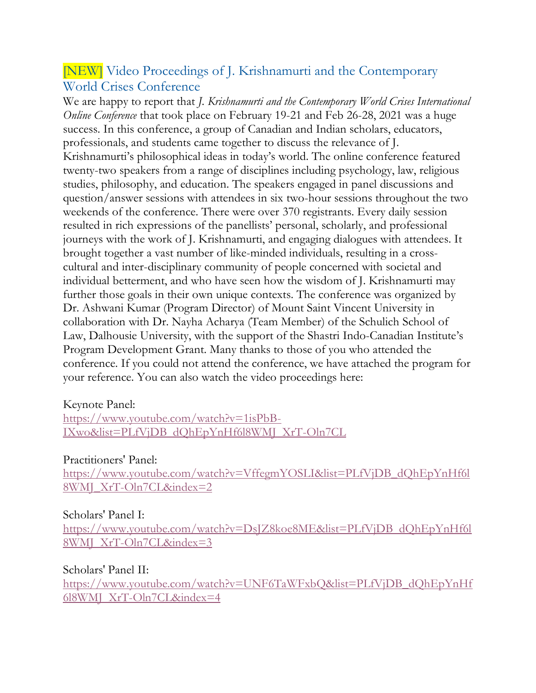#### [NEW] Video Proceedings of J. Krishnamurti and the Contemporary World Crises Conference

We are happy to report that *J. Krishnamurti and the Contemporary World Crises International Online Conference* that took place on February 19-21 and Feb 26-28, 2021 was a huge success. In this conference, a group of Canadian and Indian scholars, educators, professionals, and students came together to discuss the relevance of J. Krishnamurti's philosophical ideas in today's world. The online conference featured twenty-two speakers from a range of disciplines including psychology, law, religious studies, philosophy, and education. The speakers engaged in panel discussions and question/answer sessions with attendees in six two-hour sessions throughout the two weekends of the conference. There were over 370 registrants. Every daily session resulted in rich expressions of the panellists' personal, scholarly, and professional journeys with the work of J. Krishnamurti, and engaging dialogues with attendees. It brought together a vast number of like-minded individuals, resulting in a crosscultural and inter-disciplinary community of people concerned with societal and individual betterment, and who have seen how the wisdom of J. Krishnamurti may further those goals in their own unique contexts. The conference was organized by Dr. Ashwani Kumar (Program Director) of Mount Saint Vincent University in collaboration with Dr. Nayha Acharya (Team Member) of the Schulich School of Law, Dalhousie University, with the support of the Shastri Indo-Canadian Institute's Program Development Grant. Many thanks to those of you who attended the conference. If you could not attend the conference, we have attached the program for your reference. You can also watch the video proceedings here:

#### Keynote Panel:

[https://www.youtube.com/watch?v=1isPbB-](https://www.youtube.com/watch?v=1isPbB-IXwo&list=PLfVjDB_dQhEpYnHf6l8WMJ_XrT-Oln7CL)[IXwo&list=PLfVjDB\\_dQhEpYnHf6l8WMJ\\_XrT-Oln7CL](https://www.youtube.com/watch?v=1isPbB-IXwo&list=PLfVjDB_dQhEpYnHf6l8WMJ_XrT-Oln7CL)

#### Practitioners' Panel:

[https://www.youtube.com/watch?v=VffegmYOSLI&list=PLfVjDB\\_dQhEpYnHf6l](https://www.youtube.com/watch?v=VffegmYOSLI&list=PLfVjDB_dQhEpYnHf6l8WMJ_XrT-Oln7CL&index=2) [8WMJ\\_XrT-Oln7CL&index=2](https://www.youtube.com/watch?v=VffegmYOSLI&list=PLfVjDB_dQhEpYnHf6l8WMJ_XrT-Oln7CL&index=2)

#### Scholars' Panel I:

[https://www.youtube.com/watch?v=DsJZ8koe8ME&list=PLfVjDB\\_dQhEpYnHf6l](https://www.youtube.com/watch?v=DsJZ8koe8ME&list=PLfVjDB_dQhEpYnHf6l8WMJ_XrT-Oln7CL&index=3) [8WMJ\\_XrT-Oln7CL&index=3](https://www.youtube.com/watch?v=DsJZ8koe8ME&list=PLfVjDB_dQhEpYnHf6l8WMJ_XrT-Oln7CL&index=3)

#### Scholars' Panel II:

[https://www.youtube.com/watch?v=UNF6TaWFxbQ&list=PLfVjDB\\_dQhEpYnHf](https://www.youtube.com/watch?v=UNF6TaWFxbQ&list=PLfVjDB_dQhEpYnHf6l8WMJ_XrT-Oln7CL&index=4) [6l8WMJ\\_XrT-Oln7CL&index=4](https://www.youtube.com/watch?v=UNF6TaWFxbQ&list=PLfVjDB_dQhEpYnHf6l8WMJ_XrT-Oln7CL&index=4)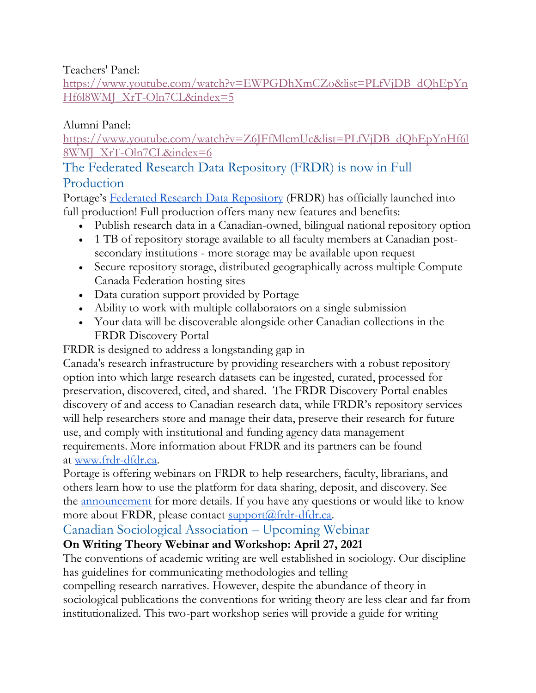Teachers' Panel:

[https://www.youtube.com/watch?v=EWPGDhXmCZo&list=PLfVjDB\\_dQhEpYn](https://www.youtube.com/watch?v=EWPGDhXmCZo&list=PLfVjDB_dQhEpYnHf6l8WMJ_XrT-Oln7CL&index=5) [Hf6l8WMJ\\_XrT-Oln7CL&index=5](https://www.youtube.com/watch?v=EWPGDhXmCZo&list=PLfVjDB_dQhEpYnHf6l8WMJ_XrT-Oln7CL&index=5)

#### Alumni Panel:

[https://www.youtube.com/watch?v=Z6JFfMlcmUc&list=PLfVjDB\\_dQhEpYnHf6l](https://www.youtube.com/watch?v=Z6JFfMlcmUc&list=PLfVjDB_dQhEpYnHf6l8WMJ_XrT-Oln7CL&index=6) [8WMJ\\_XrT-Oln7CL&index=6](https://www.youtube.com/watch?v=Z6JFfMlcmUc&list=PLfVjDB_dQhEpYnHf6l8WMJ_XrT-Oln7CL&index=6)

#### The Federated Research Data Repository (FRDR) is now in Full Production

Portage's Federated Research [Data Repository](https://www.frdr-dfdr.ca/repo/) (FRDR) has officially launched into full production! Full production offers many new features and benefits:

- Publish research data in a Canadian-owned, bilingual national repository option
- 1 TB of repository storage available to all faculty members at Canadian postsecondary institutions - more storage may be available upon request
- Secure repository storage, distributed geographically across multiple Compute Canada Federation hosting sites
- Data curation support provided by Portage
- Ability to work with multiple collaborators on a single submission
- Your data will be discoverable alongside other Canadian collections in the FRDR Discovery Portal

FRDR is designed to address a longstanding gap in

Canada's research infrastructure by providing researchers with a robust repository option into which large research datasets can be ingested, curated, processed for preservation, discovered, cited, and shared. The FRDR Discovery Portal enables discovery of and access to Canadian research data, while FRDR's repository services will help researchers store and manage their data, preserve their research for future use, and comply with institutional and funding agency data management requirements. More information about FRDR and its partners can be found at [www.frdr-dfdr.ca.](https://www.frdr-dfdr.ca/docs/en/about/)

Portage is offering webinars on FRDR to help researchers, faculty, librarians, and others learn how to use the platform for data sharing, deposit, and discovery. See the [announcement](https://portagenetwork.ca/news/upcoming-webinars-on-the-federated-research-data-repository-frdr/) for more details. If you have any questions or would like to know more about FRDR, please contact  $\frac{\text{support}(a)}{\text{frdr-dfdr.ca}}$ .

#### Canadian Sociological Association – Upcoming Webinar

#### **On Writing Theory Webinar and Workshop: April 27, 2021**

The conventions of academic writing are well established in sociology. Our discipline has guidelines for communicating methodologies and telling

compelling research narratives. However, despite the abundance of theory in sociological publications the conventions for writing theory are less clear and far from institutionalized. This two-part workshop series will provide a guide for writing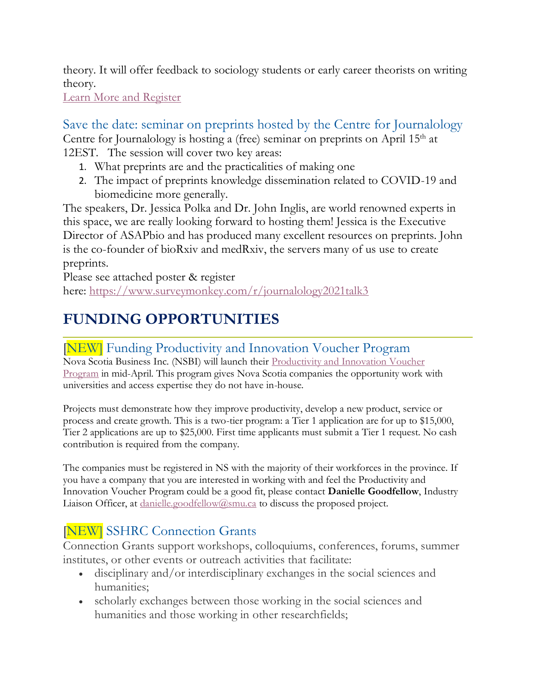theory. It will offer feedback to sociology students or early career theorists on writing theory.

[Learn More and Register](https://csa-scs.us12.list-manage.com/track/click?u=b4a4755500efe621b45c35e15&id=8332e7d8d4&e=21c2099400)

Save the date: seminar on preprints hosted by the Centre for Journalology Centre for Journalology is hosting a (free) seminar on preprints on April 15<sup>th</sup> at 12EST. The session will cover two key areas:

- 1. What preprints are and the practicalities of making one
- 2. The impact of preprints knowledge dissemination related to COVID-19 and biomedicine more generally.

The speakers, Dr. Jessica Polka and Dr. John Inglis, are world renowned experts in this space, we are really looking forward to hosting them! Jessica is the Executive Director of ASAPbio and has produced many excellent resources on preprints. John is the co-founder of bioRxiv and medRxiv, the servers many of us use to create preprints.

Please see attached poster & register here: <https://www.surveymonkey.com/r/journalology2021talk3>

# **FUNDING OPPORTUNITIES**

### [NEW] Funding Productivity and Innovation Voucher Program

Nova Scotia Business Inc. (NSBI) will launch their [Productivity and Innovation Voucher](https://www.novascotiabusiness.com/export/programs-services/productivity-and-innovation-voucher-program)  [Program](https://www.novascotiabusiness.com/export/programs-services/productivity-and-innovation-voucher-program) in mid-April. This program gives Nova Scotia companies the opportunity work with universities and access expertise they do not have in-house.

Projects must demonstrate how they improve productivity, develop a new product, service or process and create growth. This is a two-tier program: a Tier 1 application are for up to \$15,000, Tier 2 applications are up to \$25,000. First time applicants must submit a Tier 1 request. No cash contribution is required from the company.

The companies must be registered in NS with the majority of their workforces in the province. If you have a company that you are interested in working with and feel the Productivity and Innovation Voucher Program could be a good fit, please contact **Danielle Goodfellow**, Industry Liaison Officer, at  $\frac{\text{danielle.goodfellow}(Q_{\text{smu.ca}})}{\text{dissus the proposed project.}}$ 

## **NEW** SSHRC Connection Grants

Connection Grants support workshops, colloquiums, conferences, forums, summer institutes, or other events or outreach activities that facilitate:

- disciplinary and/or interdisciplinary exchanges in the social sciences and humanities;
- scholarly exchanges between those working in the social sciences and humanities and those working in other researchfields;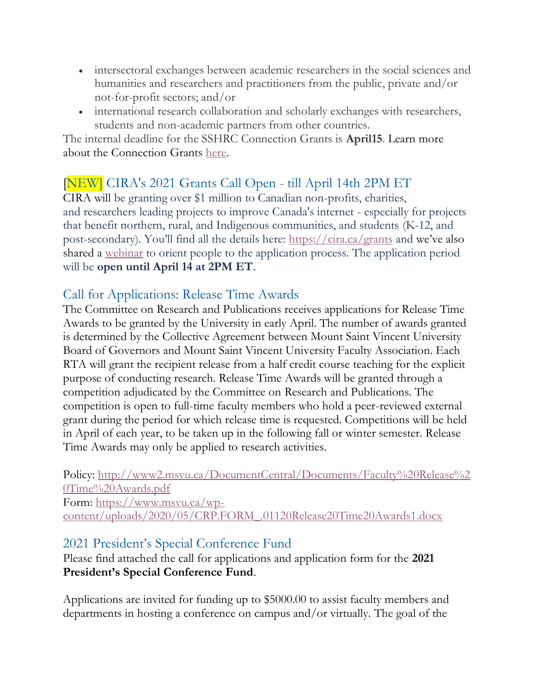- intersectoral exchanges between academic researchers in the social sciences and humanities and researchers and practitioners from the public, private and/or not-for-profit sectors; and/or
- international research collaboration and scholarly exchanges with researchers, students and non-academic partners from other countries.

The internal deadline for the SSHRC Connection Grants is **April15**. Learn more about the Connection Grants [here.](https://www.sshrc-crsh.gc.ca/funding-financement/programs-programmes/connection_grants-subventions_connexion-eng.aspx)

### [NEW] CIRA's 2021 Grants Call Open - till April 14th 2PM ET

CIRA will be granting over \$1 million to Canadian non-profits, charities, and researchers leading projects to improve Canada's internet - especially for projects that benefit northern, rural, and Indigenous communities, and students (K-12, and post-secondary). You'll find all the details here: <https://cira.ca/grants> and we've also shared a <u>[webinar](https://www.youtube.com/watch?v=1GXpqjKhYn4)</u> to orient people to the application process. The application period will be **open until April 14 at 2PM ET**.

#### Call for Applications: Release Time Awards

The Committee on Research and Publications receives applications for Release Time Awards to be granted by the University in early April. The number of awards granted is determined by the Collective Agreement between Mount Saint Vincent University Board of Governors and Mount Saint Vincent University Faculty Association. Each RTA will grant the recipient release from a half credit course teaching for the explicit purpose of conducting research. Release Time Awards will be granted through a competition adjudicated by the Committee on Research and Publications. The competition is open to full-time faculty members who hold a peer-reviewed external grant during the period for which release time is requested. Competitions will be held in April of each year, to be taken up in the following fall or winter semester. Release Time Awards may only be applied to research activities.

Policy: [http://www2.msvu.ca/DocumentCentral/Documents/Faculty%20Release%2](http://www2.msvu.ca/DocumentCentral/Documents/Faculty%20Release%20Time%20Awards.pdf) [0Time%20Awards.pdf](http://www2.msvu.ca/DocumentCentral/Documents/Faculty%20Release%20Time%20Awards.pdf)

Form: [https://www.msvu.ca/wp](https://www.msvu.ca/wp-content/uploads/2020/05/CRP.FORM_.01120Release20Time20Awards1.docx)[content/uploads/2020/05/CRP.FORM\\_.01120Release20Time20Awards1.docx](https://www.msvu.ca/wp-content/uploads/2020/05/CRP.FORM_.01120Release20Time20Awards1.docx)

#### 2021 President's Special Conference Fund

Please find attached the call for applications and application form for the **2021 President's Special Conference Fund**.

Applications are invited for funding up to \$5000.00 to assist faculty members and departments in hosting a conference on campus and/or virtually. The goal of the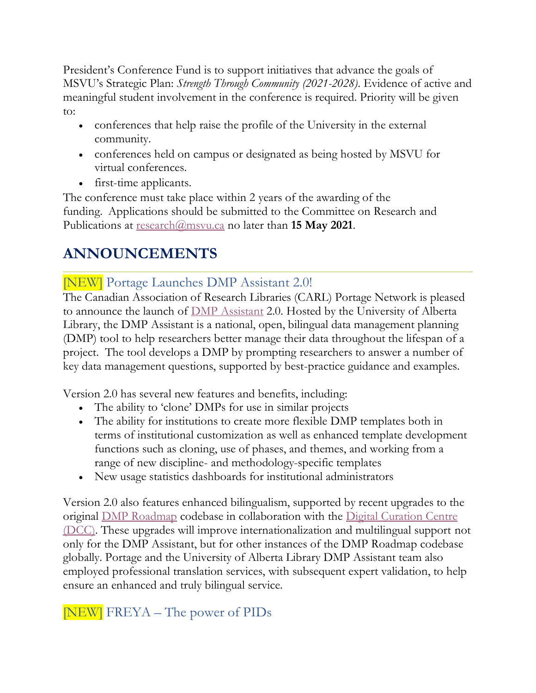President's Conference Fund is to support initiatives that advance the goals of MSVU's Strategic Plan: *Strength Through Community (2021-2028)*. Evidence of active and meaningful student involvement in the conference is required. Priority will be given to:

- conferences that help raise the profile of the University in the external community.
- conferences held on campus or designated as being hosted by MSVU for virtual conferences.
- first-time applicants.

The conference must take place within 2 years of the awarding of the funding. Applications should be submitted to the Committee on Research and Publications at [research@msvu.ca](mailto:research@msvu.ca) no later than **15 May 2021**.

# **ANNOUNCEMENTS**

### [NEW] Portage Launches DMP Assistant 2.0!

The Canadian Association of Research Libraries (CARL) Portage Network is pleased to announce the launch of [DMP Assistant](https://assistant.portagenetwork.ca/) 2.0. Hosted by the University of Alberta Library, the DMP Assistant is a national, open, bilingual data management planning (DMP) tool to help researchers better manage their data throughout the lifespan of a project. The tool develops a DMP by prompting researchers to answer a number of key data management questions, supported by best-practice guidance and examples.

Version 2.0 has several new features and benefits, including:

- The ability to 'clone' DMPs for use in similar projects
- The ability for institutions to create more flexible DMP templates both in terms of institutional customization as well as enhanced template development functions such as cloning, use of phases, and themes, and working from a range of new discipline- and methodology-specific templates
- New usage statistics dashboards for institutional administrators

Version 2.0 also features enhanced bilingualism, supported by recent upgrades to the original [DMP Roadmap](https://github.com/DMPRoadmap) codebase in collaboration with the [Digital Curation Centre](https://www.dcc.ac.uk/)  [\(DCC\).](https://www.dcc.ac.uk/) These upgrades will improve internationalization and multilingual support not only for the DMP Assistant, but for other instances of the DMP Roadmap codebase globally. Portage and the University of Alberta Library DMP Assistant team also employed professional translation services, with subsequent expert validation, to help ensure an enhanced and truly bilingual service.

### [NEW] FREYA – The power of PIDs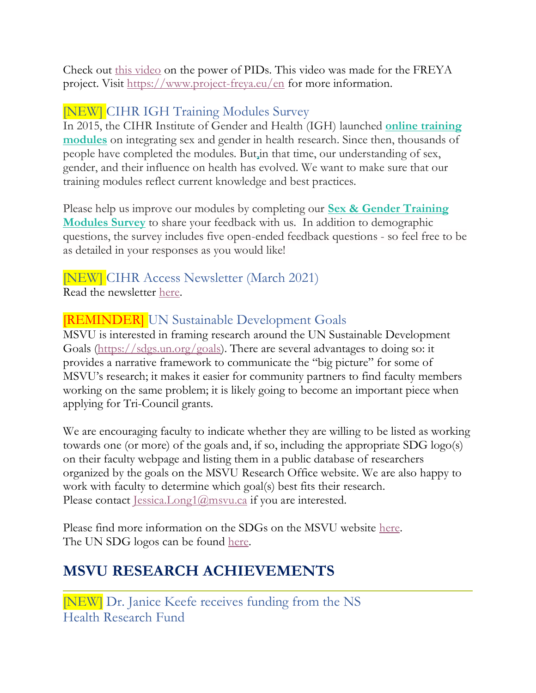Check out [this video](https://www.youtube.com/watch?v=9G4EMJCwCw4) on the power of PIDs. This video was made for the FREYA project. Visit [https://www.project-freya.eu/en](https://www.youtube.com/redirect?event=video_description&redir_token=QUFFLUhqa2NTOTNyNUExTFN6b0R4TGZ6UjcxQ1hQeWN3d3xBQ3Jtc0ttR1VhODZtWXFyQ1JzZm9PWFVsTE14elY5VGRzS2lhcGFuN1B4QmN6UlhoTk5YVXFnWlRDMTEtNERFS2o0dUlQWHZMQ2lLV3p4Si15QUNINGVwQXl3dE1HT1N5MWU3eXNUcmZiOVJCaHN4R0lWc1k4UQ&q=https%3A%2F%2Fwww.project-freya.eu%2Fen) for more information.

### [NEW] CIHR IGH Training Modules Survey

In 2015, the CIHR Institute of Gender and Health (IGH) launched **[online training](https://cihr-irsc.us13.list-manage.com/track/click?u=873fb0e14e3b72cfb6c50cba3&id=0022037391&e=636f667c99)  [modules](https://cihr-irsc.us13.list-manage.com/track/click?u=873fb0e14e3b72cfb6c50cba3&id=0022037391&e=636f667c99)** on integrating sex and gender in health research. Since then, thousands of people have completed the modules. But,in that time, our understanding of sex, gender, and their influence on health has evolved. We want to make sure that our training modules reflect current knowledge and best practices.

Please help us improve our modules by completing our **[Sex & Gender Training](https://cihr-irsc.us13.list-manage.com/track/click?u=873fb0e14e3b72cfb6c50cba3&id=a47ffda745&e=636f667c99)  [Modules Survey](https://cihr-irsc.us13.list-manage.com/track/click?u=873fb0e14e3b72cfb6c50cba3&id=a47ffda745&e=636f667c99)** to share your feedback with us. In addition to demographic questions, the survey includes five open-ended feedback questions - so feel free to be as detailed in your responses as you would like!

# [NEW] CIHR Access Newsletter (March 2021)

Read the newsletter [here.](https://suivi.lnk01.com/v/443/a1bc484810dc22468bda4e25236a6962d348408218fad3cc)

#### [REMINDER] UN Sustainable Development Goals

MSVU is interested in framing research around the UN Sustainable Development Goals [\(https://sdgs.un.org/goals\)](https://sdgs.un.org/goals). There are several advantages to doing so: it provides a narrative framework to communicate the "big picture" for some of MSVU's research; it makes it easier for community partners to find faculty members working on the same problem; it is likely going to become an important piece when applying for Tri-Council grants.

We are encouraging faculty to indicate whether they are willing to be listed as working towards one (or more) of the goals and, if so, including the appropriate SDG logo(s) on their faculty webpage and listing them in a public database of researchers organized by the goals on the MSVU Research Office website. We are also happy to work with faculty to determine which goal(s) best fits their research. Please contact [Jessica.Long1@msvu.ca](mailto:Jessica.Long1@msvu.ca) if you are interested.

Please find more information on the SDGs on the MSVU website [here.](https://www.msvu.ca/research-at-the-mount/about-us/un-sustainable-development-goals/) The UN SDG logos can be found [here.](https://www.un.org/sustainabledevelopment/news/communications-material/)

## **MSVU RESEARCH ACHIEVEMENTS**

[NEW] Dr. Janice Keefe receives funding from the NS Health Research Fund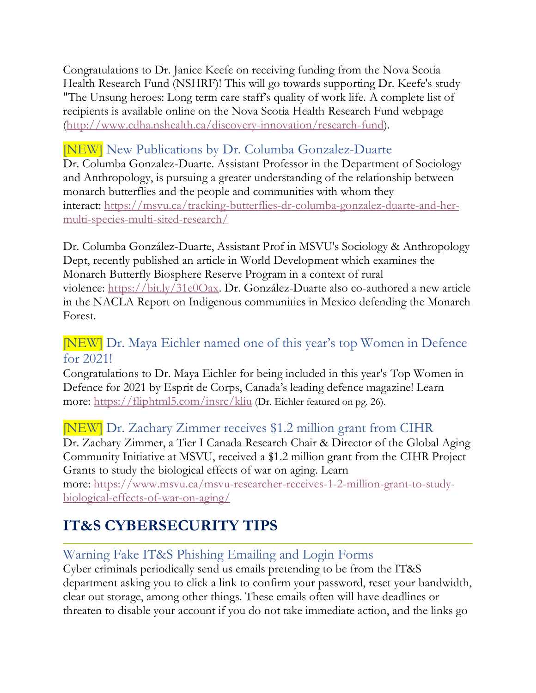Congratulations to Dr. Janice Keefe on receiving funding from the Nova Scotia Health Research Fund (NSHRF)! This will go towards supporting Dr. Keefe's study "The Unsung heroes: Long term care staff's quality of work life. A complete list of recipients is available online on the Nova Scotia Health Research Fund webpage [\(http://www.cdha.nshealth.ca/discovery-innovation/research-fund\)](http://www.cdha.nshealth.ca/discovery-innovation/research-fund).

### [NEW] New Publications by Dr. Columba Gonzalez-Duarte

Dr. Columba Gonzalez-Duarte. Assistant Professor in the Department of Sociology and Anthropology, is pursuing a greater understanding of the relationship between monarch butterflies and the people and communities with whom they interact: [https://msvu.ca/tracking-butterflies-dr-columba-gonzalez-duarte-and-her](https://t.co/R2s0qhh3Yk?amp=1)[multi-species-multi-sited-research/](https://t.co/R2s0qhh3Yk?amp=1)

Dr. Columba González-Duarte, Assistant Prof in MSVU's Sociology & Anthropology Dept, recently published an article in World Development which examines the Monarch Butterfly Biosphere Reserve Program in a context of rural violence: [https://bit.ly/31e0Oax.](https://t.co/K5wV7J5GI0?amp=1) Dr. González-Duarte also co-authored a new article in the NACLA Report on Indigenous communities in Mexico defending the Monarch Forest.

#### [NEW] Dr. Maya Eichler named one of this year's top Women in Defence for 2021!

Congratulations to Dr. Maya Eichler for being included in this year's Top Women in Defence for 2021 by Esprit de Corps, Canada's leading defence magazine! Learn more: <https://fliphtml5.com/insrc/kliu> (Dr. Eichler featured on pg. 26).

#### [NEW] Dr. Zachary Zimmer receives \$1.2 million grant from CIHR

Dr. Zachary Zimmer, a Tier I Canada Research Chair & Director of the Global Aging Community Initiative at MSVU, received a \$1.2 million grant from the CIHR Project Grants to study the biological effects of war on aging. Learn

more: [https://www.msvu.ca/msvu-researcher-receives-1-2-million-grant-to-study](https://www.msvu.ca/msvu-researcher-receives-1-2-million-grant-to-study-biological-effects-of-war-on-aging/)[biological-effects-of-war-on-aging/](https://www.msvu.ca/msvu-researcher-receives-1-2-million-grant-to-study-biological-effects-of-war-on-aging/)

## **IT&S CYBERSECURITY TIPS**

#### Warning Fake IT&S Phishing Emailing and Login Forms

Cyber criminals periodically send us emails pretending to be from the IT&S department asking you to click a link to confirm your password, reset your bandwidth, clear out storage, among other things. These emails often will have deadlines or threaten to disable your account if you do not take immediate action, and the links go